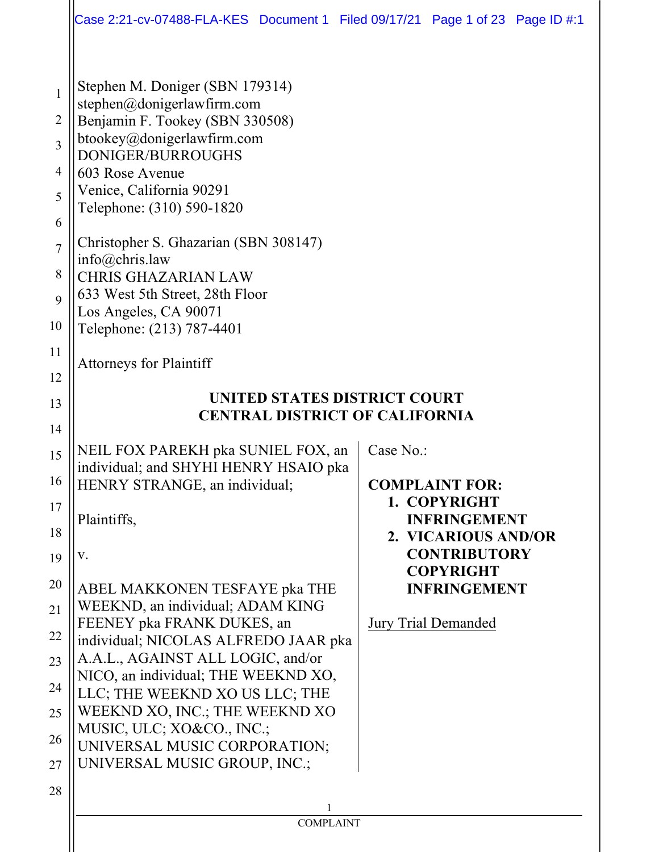|                                              | Case 2:21-cv-07488-FLA-KES Document 1 Filed 09/17/21 Page 1 of 23 Page ID #:1                                                                                                                                                                                                                     |                                                            |
|----------------------------------------------|---------------------------------------------------------------------------------------------------------------------------------------------------------------------------------------------------------------------------------------------------------------------------------------------------|------------------------------------------------------------|
| 1<br>2<br>3<br>4<br>5<br>6<br>$\overline{7}$ | Stephen M. Doniger (SBN 179314)<br>stephen@donigerlawfirm.com<br>Benjamin F. Tookey (SBN 330508)<br>btookey@donigerlawfirm.com<br><b>DONIGER/BURROUGHS</b><br>603 Rose Avenue<br>Venice, California 90291<br>Telephone: (310) 590-1820<br>Christopher S. Ghazarian (SBN 308147)<br>info@chris.law |                                                            |
| 8                                            | <b>CHRIS GHAZARIAN LAW</b>                                                                                                                                                                                                                                                                        |                                                            |
| 9                                            | 633 West 5th Street, 28th Floor<br>Los Angeles, CA 90071                                                                                                                                                                                                                                          |                                                            |
| 10                                           | Telephone: (213) 787-4401                                                                                                                                                                                                                                                                         |                                                            |
| 11                                           | <b>Attorneys for Plaintiff</b>                                                                                                                                                                                                                                                                    |                                                            |
| 12                                           |                                                                                                                                                                                                                                                                                                   |                                                            |
| 13                                           | UNITED STATES DISTRICT COURT<br><b>CENTRAL DISTRICT OF CALIFORNIA</b>                                                                                                                                                                                                                             |                                                            |
| 14                                           |                                                                                                                                                                                                                                                                                                   |                                                            |
| 15<br>16                                     | NEIL FOX PAREKH pka SUNIEL FOX, an<br>individual; and SHYHI HENRY HSAIO pka<br>HENRY STRANGE, an individual;                                                                                                                                                                                      | Case No.:<br><b>COMPLAINT FOR:</b>                         |
| 17<br>18                                     | Plaintiffs,                                                                                                                                                                                                                                                                                       | 1. COPYRIGHT<br><b>INFRINGEMENT</b><br>2. VICARIOUS AND/OR |
| 19                                           | V.                                                                                                                                                                                                                                                                                                | <b>CONTRIBUTORY</b><br><b>COPYRIGHT</b>                    |
| 20<br>21                                     | ABEL MAKKONEN TESFAYE pka THE<br>WEEKND, an individual; ADAM KING                                                                                                                                                                                                                                 | <b>INFRINGEMENT</b>                                        |
| 22                                           | FEENEY pka FRANK DUKES, an<br>individual; NICOLAS ALFREDO JAAR pka                                                                                                                                                                                                                                | <b>Jury Trial Demanded</b>                                 |
| 23                                           | A.A.L., AGAINST ALL LOGIC, and/or                                                                                                                                                                                                                                                                 |                                                            |
| 24                                           | NICO, an individual; THE WEEKND XO,                                                                                                                                                                                                                                                               |                                                            |
| 25                                           | LLC; THE WEEKND XO US LLC; THE<br>WEEKND XO, INC.; THE WEEKND XO                                                                                                                                                                                                                                  |                                                            |
| 26                                           | MUSIC, ULC; XO&CO., INC.;<br>UNIVERSAL MUSIC CORPORATION;                                                                                                                                                                                                                                         |                                                            |
| 27                                           | UNIVERSAL MUSIC GROUP, INC.;                                                                                                                                                                                                                                                                      |                                                            |
| 28                                           |                                                                                                                                                                                                                                                                                                   |                                                            |
|                                              |                                                                                                                                                                                                                                                                                                   |                                                            |
|                                              | <b>COMPLAINT</b>                                                                                                                                                                                                                                                                                  |                                                            |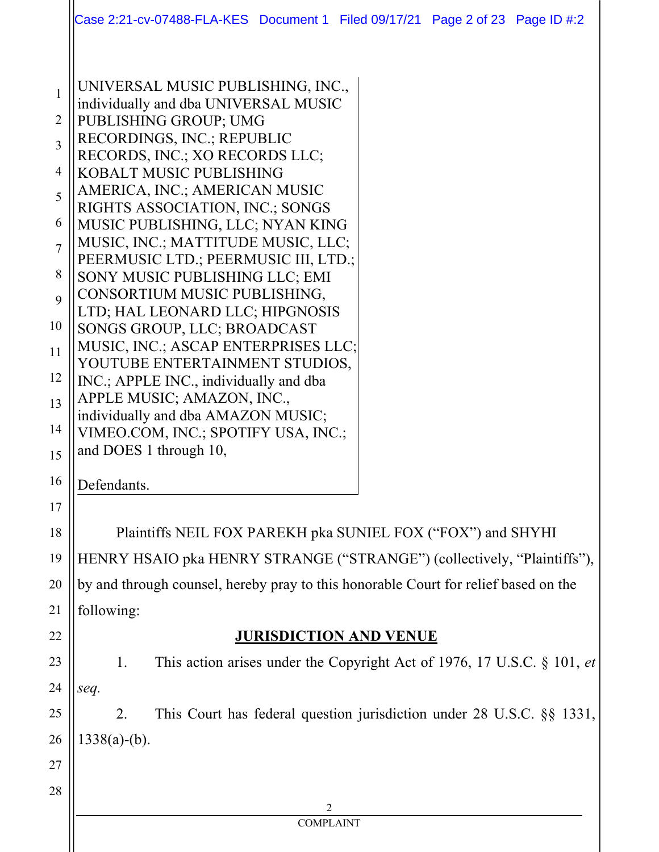|                                                                                                                    | Case 2:21-cv-07488-FLA-KES Document 1 Filed 09/17/21 Page 2 of 23 Page ID #:2                                                                                                                                                                                                                                                                                                                                                                                                                                                                                                                                                                                                                                                                                                   |  |  |
|--------------------------------------------------------------------------------------------------------------------|---------------------------------------------------------------------------------------------------------------------------------------------------------------------------------------------------------------------------------------------------------------------------------------------------------------------------------------------------------------------------------------------------------------------------------------------------------------------------------------------------------------------------------------------------------------------------------------------------------------------------------------------------------------------------------------------------------------------------------------------------------------------------------|--|--|
| $\mathbf{1}$<br>$\overline{2}$<br>3<br>4<br>5<br>6<br>$\overline{7}$<br>8<br>9<br>10<br>11<br>12<br>13<br>14<br>15 | UNIVERSAL MUSIC PUBLISHING, INC.,<br>individually and dba UNIVERSAL MUSIC<br>PUBLISHING GROUP; UMG<br>RECORDINGS, INC.; REPUBLIC<br>RECORDS, INC.; XO RECORDS LLC;<br>KOBALT MUSIC PUBLISHING<br>AMERICA, INC.; AMERICAN MUSIC<br>RIGHTS ASSOCIATION, INC.; SONGS<br>MUSIC PUBLISHING, LLC; NYAN KING<br>MUSIC, INC.; MATTITUDE MUSIC, LLC;<br>PEERMUSIC LTD.; PEERMUSIC III, LTD.;<br>SONY MUSIC PUBLISHING LLC; EMI<br>CONSORTIUM MUSIC PUBLISHING,<br>LTD; HAL LEONARD LLC; HIPGNOSIS<br>SONGS GROUP, LLC; BROADCAST<br>MUSIC, INC.; ASCAP ENTERPRISES LLC;<br>YOUTUBE ENTERTAINMENT STUDIOS,<br>INC.; APPLE INC., individually and dba<br>APPLE MUSIC; AMAZON, INC.,<br>individually and dba AMAZON MUSIC;<br>VIMEO.COM, INC.; SPOTIFY USA, INC.;<br>and DOES 1 through 10, |  |  |
| 16                                                                                                                 | Defendants.                                                                                                                                                                                                                                                                                                                                                                                                                                                                                                                                                                                                                                                                                                                                                                     |  |  |
| 17                                                                                                                 |                                                                                                                                                                                                                                                                                                                                                                                                                                                                                                                                                                                                                                                                                                                                                                                 |  |  |
| 18                                                                                                                 | Plaintiffs NEIL FOX PAREKH pka SUNIEL FOX ("FOX") and SHYHI                                                                                                                                                                                                                                                                                                                                                                                                                                                                                                                                                                                                                                                                                                                     |  |  |
| 19                                                                                                                 | HENRY HSAIO pka HENRY STRANGE ("STRANGE") (collectively, "Plaintiffs"),                                                                                                                                                                                                                                                                                                                                                                                                                                                                                                                                                                                                                                                                                                         |  |  |
| 20                                                                                                                 | by and through counsel, hereby pray to this honorable Court for relief based on the                                                                                                                                                                                                                                                                                                                                                                                                                                                                                                                                                                                                                                                                                             |  |  |
| 21                                                                                                                 | following:                                                                                                                                                                                                                                                                                                                                                                                                                                                                                                                                                                                                                                                                                                                                                                      |  |  |
| 22                                                                                                                 | <b>JURISDICTION AND VENUE</b>                                                                                                                                                                                                                                                                                                                                                                                                                                                                                                                                                                                                                                                                                                                                                   |  |  |
| 23                                                                                                                 | This action arises under the Copyright Act of 1976, 17 U.S.C. § 101, et<br>1.                                                                                                                                                                                                                                                                                                                                                                                                                                                                                                                                                                                                                                                                                                   |  |  |
| 24                                                                                                                 | seq.                                                                                                                                                                                                                                                                                                                                                                                                                                                                                                                                                                                                                                                                                                                                                                            |  |  |
| 25                                                                                                                 | This Court has federal question jurisdiction under $28$ U.S.C. $\S$ $\S$ 1331,<br>2.                                                                                                                                                                                                                                                                                                                                                                                                                                                                                                                                                                                                                                                                                            |  |  |
| 26                                                                                                                 | $1338(a)-(b)$ .                                                                                                                                                                                                                                                                                                                                                                                                                                                                                                                                                                                                                                                                                                                                                                 |  |  |
| 27                                                                                                                 |                                                                                                                                                                                                                                                                                                                                                                                                                                                                                                                                                                                                                                                                                                                                                                                 |  |  |
| 28                                                                                                                 |                                                                                                                                                                                                                                                                                                                                                                                                                                                                                                                                                                                                                                                                                                                                                                                 |  |  |
|                                                                                                                    | $\mathfrak{D}$<br><b>COMPLAINT</b>                                                                                                                                                                                                                                                                                                                                                                                                                                                                                                                                                                                                                                                                                                                                              |  |  |
|                                                                                                                    |                                                                                                                                                                                                                                                                                                                                                                                                                                                                                                                                                                                                                                                                                                                                                                                 |  |  |
|                                                                                                                    |                                                                                                                                                                                                                                                                                                                                                                                                                                                                                                                                                                                                                                                                                                                                                                                 |  |  |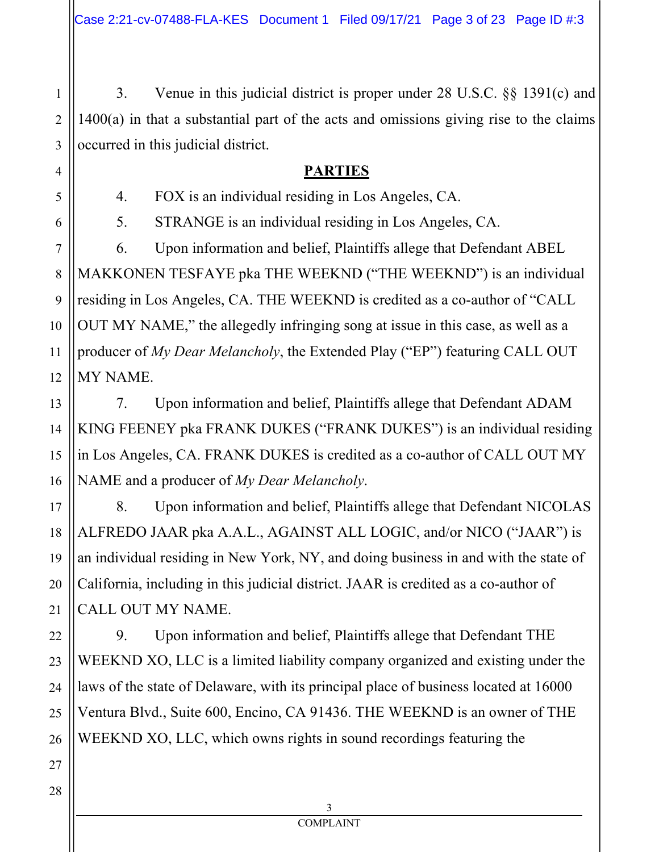3. Venue in this judicial district is proper under 28 U.S.C. §§ 1391(c) and 1400(a) in that a substantial part of the acts and omissions giving rise to the claims occurred in this judicial district.

# **PARTIES**

4. FOX is an individual residing in Los Angeles, CA.

5. STRANGE is an individual residing in Los Angeles, CA.

6. Upon information and belief, Plaintiffs allege that Defendant ABEL MAKKONEN TESFAYE pka THE WEEKND ("THE WEEKND") is an individual residing in Los Angeles, CA. THE WEEKND is credited as a co-author of "CALL OUT MY NAME," the allegedly infringing song at issue in this case, as well as a producer of *My Dear Melancholy*, the Extended Play ("EP") featuring CALL OUT MY NAME.

7. Upon information and belief, Plaintiffs allege that Defendant ADAM KING FEENEY pka FRANK DUKES ("FRANK DUKES") is an individual residing in Los Angeles, CA. FRANK DUKES is credited as a co-author of CALL OUT MY NAME and a producer of *My Dear Melancholy*.

8. Upon information and belief, Plaintiffs allege that Defendant NICOLAS ALFREDO JAAR pka A.A.L., AGAINST ALL LOGIC, and/or NICO ("JAAR") is an individual residing in New York, NY, and doing business in and with the state of California, including in this judicial district. JAAR is credited as a co-author of CALL OUT MY NAME.

9. Upon information and belief, Plaintiffs allege that Defendant THE WEEKND XO, LLC is a limited liability company organized and existing under the laws of the state of Delaware, with its principal place of business located at 16000 Ventura Blvd., Suite 600, Encino, CA 91436. THE WEEKND is an owner of THE WEEKND XO, LLC, which owns rights in sound recordings featuring the

26 27 28

1

2

3

4

5

6

7

8

9

10

11

12

13

14

15

16

17

18

19

20

21

22

23

24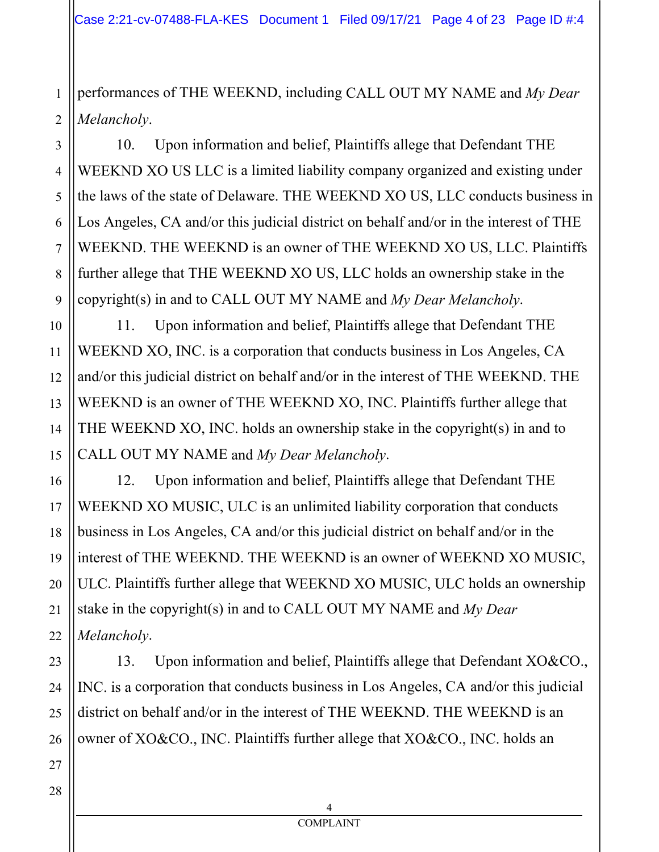1 2 performances of THE WEEKND, including CALL OUT MY NAME and *My Dear Melancholy*.

10. Upon information and belief, Plaintiffs allege that Defendant THE WEEKND XO US LLC is a limited liability company organized and existing under the laws of the state of Delaware. THE WEEKND XO US, LLC conducts business in Los Angeles, CA and/or this judicial district on behalf and/or in the interest of THE WEEKND. THE WEEKND is an owner of THE WEEKND XO US, LLC. Plaintiffs further allege that THE WEEKND XO US, LLC holds an ownership stake in the copyright(s) in and to CALL OUT MY NAME and *My Dear Melancholy*.

11. Upon information and belief, Plaintiffs allege that Defendant THE WEEKND XO, INC. is a corporation that conducts business in Los Angeles, CA and/or this judicial district on behalf and/or in the interest of THE WEEKND. THE WEEKND is an owner of THE WEEKND XO, INC. Plaintiffs further allege that THE WEEKND XO, INC. holds an ownership stake in the copyright(s) in and to CALL OUT MY NAME and *My Dear Melancholy*.

12. Upon information and belief, Plaintiffs allege that Defendant THE WEEKND XO MUSIC, ULC is an unlimited liability corporation that conducts business in Los Angeles, CA and/or this judicial district on behalf and/or in the interest of THE WEEKND. THE WEEKND is an owner of WEEKND XO MUSIC, ULC. Plaintiffs further allege that WEEKND XO MUSIC, ULC holds an ownership stake in the copyright(s) in and to CALL OUT MY NAME and *My Dear Melancholy*.

13. Upon information and belief, Plaintiffs allege that Defendant XO&CO., INC. is a corporation that conducts business in Los Angeles, CA and/or this judicial district on behalf and/or in the interest of THE WEEKND. THE WEEKND is an owner of XO&CO., INC. Plaintiffs further allege that XO&CO., INC. holds an

3

4

5

6

7

8

9

10

11

12

13

14

15

16

17

18

19

20

21

22

23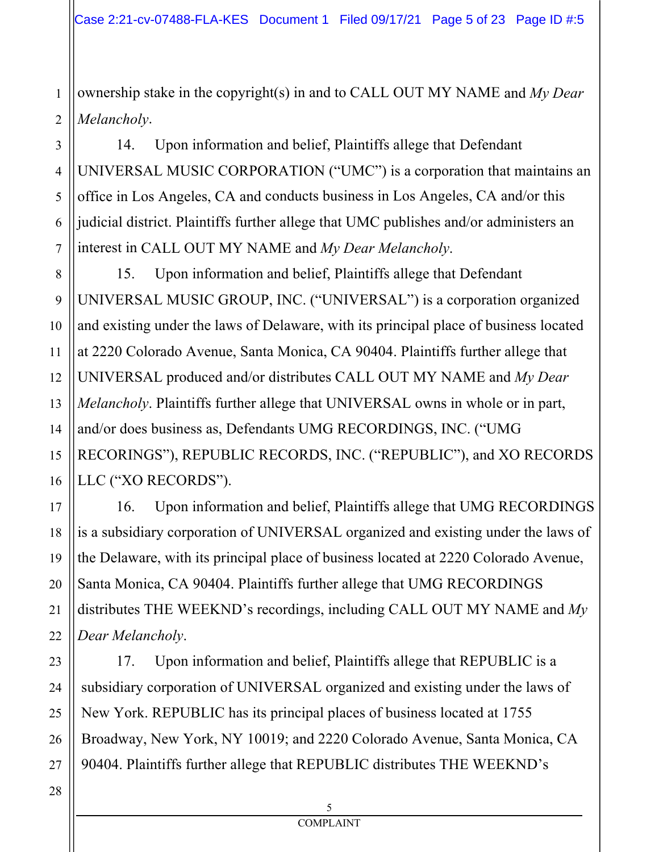ownership stake in the copyright(s) in and to CALL OUT MY NAME and *My Dear Melancholy*.

14. Upon information and belief, Plaintiffs allege that Defendant UNIVERSAL MUSIC CORPORATION ("UMC") is a corporation that maintains an office in Los Angeles, CA and conducts business in Los Angeles, CA and/or this judicial district. Plaintiffs further allege that UMC publishes and/or administers an interest in CALL OUT MY NAME and *My Dear Melancholy*.

15. Upon information and belief, Plaintiffs allege that Defendant UNIVERSAL MUSIC GROUP, INC. ("UNIVERSAL") is a corporation organized and existing under the laws of Delaware, with its principal place of business located at 2220 Colorado Avenue, Santa Monica, CA 90404. Plaintiffs further allege that UNIVERSAL produced and/or distributes CALL OUT MY NAME and *My Dear Melancholy*. Plaintiffs further allege that UNIVERSAL owns in whole or in part, and/or does business as, Defendants UMG RECORDINGS, INC. ("UMG RECORINGS"), REPUBLIC RECORDS, INC. ("REPUBLIC"), and XO RECORDS LLC ("XO RECORDS").

16. Upon information and belief, Plaintiffs allege that UMG RECORDINGS is a subsidiary corporation of UNIVERSAL organized and existing under the laws of the Delaware, with its principal place of business located at 2220 Colorado Avenue, Santa Monica, CA 90404. Plaintiffs further allege that UMG RECORDINGS distributes THE WEEKND's recordings, including CALL OUT MY NAME and *My Dear Melancholy*.

17. Upon information and belief, Plaintiffs allege that REPUBLIC is a subsidiary corporation of UNIVERSAL organized and existing under the laws of New York. REPUBLIC has its principal places of business located at 1755 Broadway, New York, NY 10019; and 2220 Colorado Avenue, Santa Monica, CA 90404. Plaintiffs further allege that REPUBLIC distributes THE WEEKND's

1

2

3

4

5

6

7

8

9

10

11

12

13

14

15

16

17

18

19

20

21

22

23

24

25

26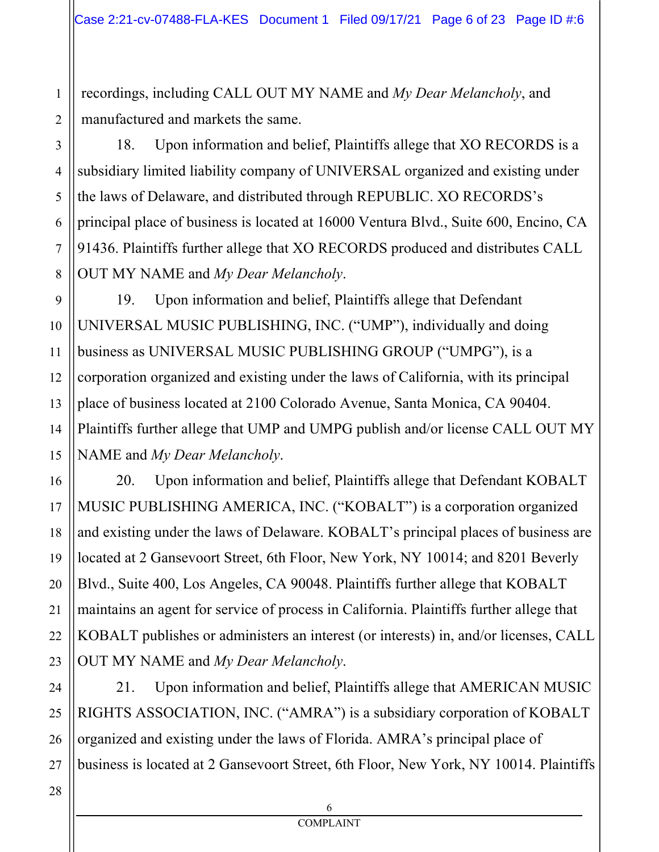recordings, including CALL OUT MY NAME and *My Dear Melancholy*, and manufactured and markets the same.

18. Upon information and belief, Plaintiffs allege that XO RECORDS is a subsidiary limited liability company of UNIVERSAL organized and existing under the laws of Delaware, and distributed through REPUBLIC. XO RECORDS's principal place of business is located at 16000 Ventura Blvd., Suite 600, Encino, CA 91436. Plaintiffs further allege that XO RECORDS produced and distributes CALL OUT MY NAME and *My Dear Melancholy*.

19. Upon information and belief, Plaintiffs allege that Defendant UNIVERSAL MUSIC PUBLISHING, INC. ("UMP"), individually and doing business as UNIVERSAL MUSIC PUBLISHING GROUP ("UMPG"), is a corporation organized and existing under the laws of California, with its principal place of business located at 2100 Colorado Avenue, Santa Monica, CA 90404. Plaintiffs further allege that UMP and UMPG publish and/or license CALL OUT MY NAME and *My Dear Melancholy*.

20. Upon information and belief, Plaintiffs allege that Defendant KOBALT MUSIC PUBLISHING AMERICA, INC. ("KOBALT") is a corporation organized and existing under the laws of Delaware. KOBALT's principal places of business are located at 2 Gansevoort Street, 6th Floor, New York, NY 10014; and 8201 Beverly Blvd., Suite 400, Los Angeles, CA 90048. Plaintiffs further allege that KOBALT maintains an agent for service of process in California. Plaintiffs further allege that KOBALT publishes or administers an interest (or interests) in, and/or licenses, CALL OUT MY NAME and *My Dear Melancholy*.

21. Upon information and belief, Plaintiffs allege that AMERICAN MUSIC RIGHTS ASSOCIATION, INC. ("AMRA") is a subsidiary corporation of KOBALT organized and existing under the laws of Florida. AMRA's principal place of business is located at 2 Gansevoort Street, 6th Floor, New York, NY 10014. Plaintiffs

1

2

3

4

5

6

7

8

9

10

11

12

13

14

15

16

17

18

19

20

21

22

23

24

25

26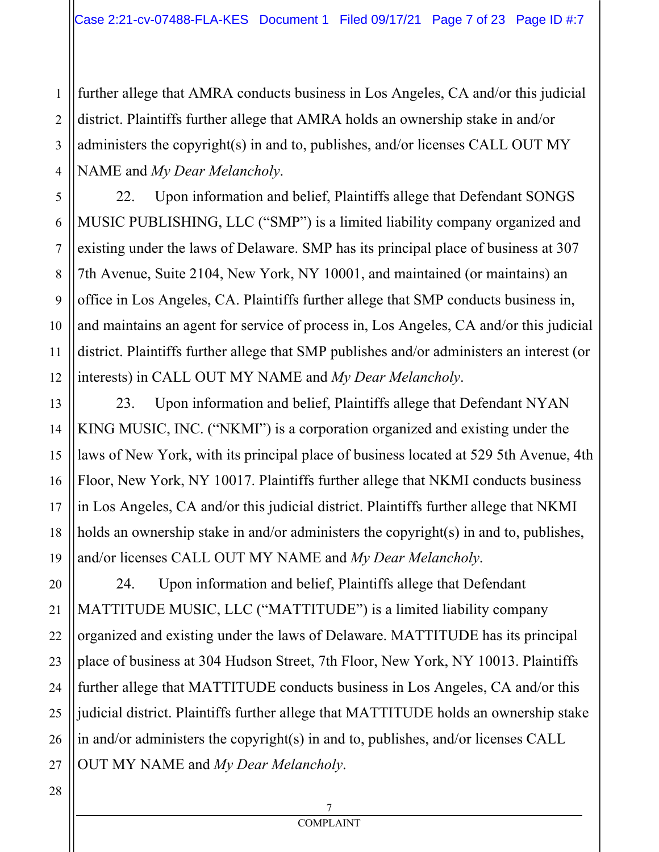further allege that AMRA conducts business in Los Angeles, CA and/or this judicial district. Plaintiffs further allege that AMRA holds an ownership stake in and/or administers the copyright(s) in and to, publishes, and/or licenses CALL OUT MY NAME and *My Dear Melancholy*.

22. Upon information and belief, Plaintiffs allege that Defendant SONGS MUSIC PUBLISHING, LLC ("SMP") is a limited liability company organized and existing under the laws of Delaware. SMP has its principal place of business at 307 7th Avenue, Suite 2104, New York, NY 10001, and maintained (or maintains) an office in Los Angeles, CA. Plaintiffs further allege that SMP conducts business in, and maintains an agent for service of process in, Los Angeles, CA and/or this judicial district. Plaintiffs further allege that SMP publishes and/or administers an interest (or interests) in CALL OUT MY NAME and *My Dear Melancholy*.

23. Upon information and belief, Plaintiffs allege that Defendant NYAN KING MUSIC, INC. ("NKMI") is a corporation organized and existing under the laws of New York, with its principal place of business located at 529 5th Avenue, 4th Floor, New York, NY 10017. Plaintiffs further allege that NKMI conducts business in Los Angeles, CA and/or this judicial district. Plaintiffs further allege that NKMI holds an ownership stake in and/or administers the copyright(s) in and to, publishes, and/or licenses CALL OUT MY NAME and *My Dear Melancholy*.

24. Upon information and belief, Plaintiffs allege that Defendant MATTITUDE MUSIC, LLC ("MATTITUDE") is a limited liability company organized and existing under the laws of Delaware. MATTITUDE has its principal place of business at 304 Hudson Street, 7th Floor, New York, NY 10013. Plaintiffs further allege that MATTITUDE conducts business in Los Angeles, CA and/or this judicial district. Plaintiffs further allege that MATTITUDE holds an ownership stake in and/or administers the copyright(s) in and to, publishes, and/or licenses CALL OUT MY NAME and *My Dear Melancholy*.

1

2

3

4

5

6

7

8

9

10

11

12

13

14

15

16

17

18

19

20

21

22

23

24

25

26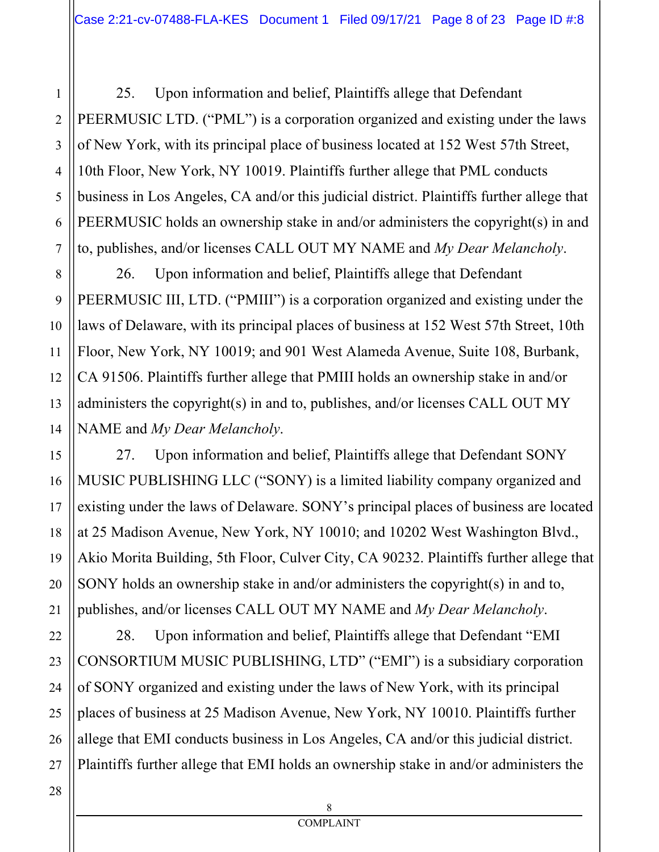25. Upon information and belief, Plaintiffs allege that Defendant PEERMUSIC LTD. ("PML") is a corporation organized and existing under the laws of New York, with its principal place of business located at 152 West 57th Street, 10th Floor, New York, NY 10019. Plaintiffs further allege that PML conducts business in Los Angeles, CA and/or this judicial district. Plaintiffs further allege that PEERMUSIC holds an ownership stake in and/or administers the copyright(s) in and to, publishes, and/or licenses CALL OUT MY NAME and *My Dear Melancholy*.

8 12 13 14 26. Upon information and belief, Plaintiffs allege that Defendant PEERMUSIC III, LTD. ("PMIII") is a corporation organized and existing under the laws of Delaware, with its principal places of business at 152 West 57th Street, 10th Floor, New York, NY 10019; and 901 West Alameda Avenue, Suite 108, Burbank, CA 91506. Plaintiffs further allege that PMIII holds an ownership stake in and/or administers the copyright(s) in and to, publishes, and/or licenses CALL OUT MY NAME and *My Dear Melancholy*.

27. Upon information and belief, Plaintiffs allege that Defendant SONY MUSIC PUBLISHING LLC ("SONY) is a limited liability company organized and existing under the laws of Delaware. SONY's principal places of business are located at 25 Madison Avenue, New York, NY 10010; and 10202 West Washington Blvd., Akio Morita Building, 5th Floor, Culver City, CA 90232. Plaintiffs further allege that SONY holds an ownership stake in and/or administers the copyright(s) in and to, publishes, and/or licenses CALL OUT MY NAME and *My Dear Melancholy*.

28. Upon information and belief, Plaintiffs allege that Defendant "EMI CONSORTIUM MUSIC PUBLISHING, LTD" ("EMI") is a subsidiary corporation of SONY organized and existing under the laws of New York, with its principal places of business at 25 Madison Avenue, New York, NY 10010. Plaintiffs further allege that EMI conducts business in Los Angeles, CA and/or this judicial district. Plaintiffs further allege that EMI holds an ownership stake in and/or administers the

27

1

2

3

4

5

6

7

9

10

11

15

16

17

18

19

20

21

22

23

24

25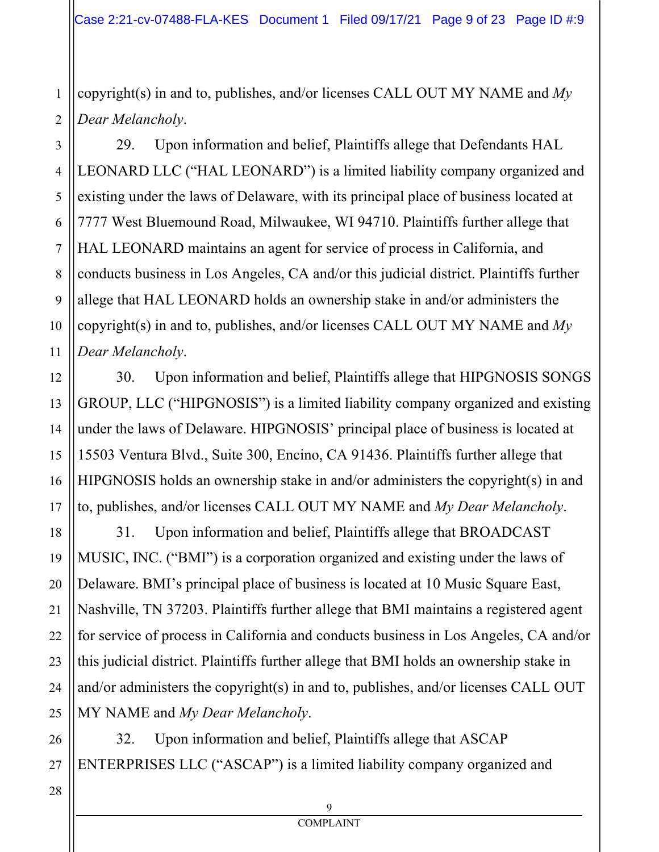1 2 copyright(s) in and to, publishes, and/or licenses CALL OUT MY NAME and *My Dear Melancholy*.

29. Upon information and belief, Plaintiffs allege that Defendants HAL LEONARD LLC ("HAL LEONARD") is a limited liability company organized and existing under the laws of Delaware, with its principal place of business located at 7777 West Bluemound Road, Milwaukee, WI 94710. Plaintiffs further allege that HAL LEONARD maintains an agent for service of process in California, and conducts business in Los Angeles, CA and/or this judicial district. Plaintiffs further allege that HAL LEONARD holds an ownership stake in and/or administers the copyright(s) in and to, publishes, and/or licenses CALL OUT MY NAME and *My Dear Melancholy*.

30. Upon information and belief, Plaintiffs allege that HIPGNOSIS SONGS GROUP, LLC ("HIPGNOSIS") is a limited liability company organized and existing under the laws of Delaware. HIPGNOSIS' principal place of business is located at 15503 Ventura Blvd., Suite 300, Encino, CA 91436. Plaintiffs further allege that HIPGNOSIS holds an ownership stake in and/or administers the copyright(s) in and to, publishes, and/or licenses CALL OUT MY NAME and *My Dear Melancholy*.

31. Upon information and belief, Plaintiffs allege that BROADCAST MUSIC, INC. ("BMI") is a corporation organized and existing under the laws of Delaware. BMI's principal place of business is located at 10 Music Square East, Nashville, TN 37203. Plaintiffs further allege that BMI maintains a registered agent for service of process in California and conducts business in Los Angeles, CA and/or this judicial district. Plaintiffs further allege that BMI holds an ownership stake in and/or administers the copyright(s) in and to, publishes, and/or licenses CALL OUT MY NAME and *My Dear Melancholy*.

32. Upon information and belief, Plaintiffs allege that ASCAP ENTERPRISES LLC ("ASCAP") is a limited liability company organized and

3

4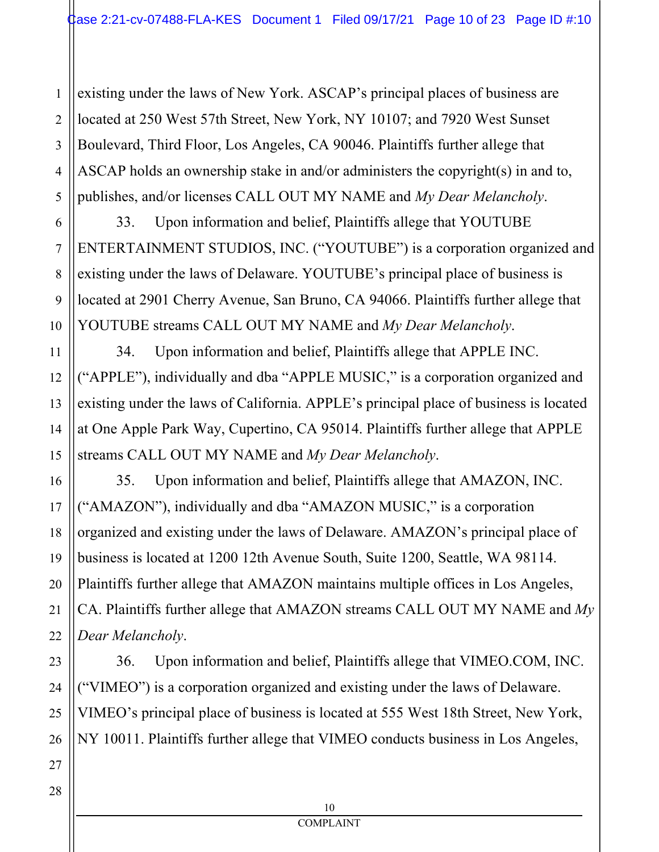4 5 existing under the laws of New York. ASCAP's principal places of business are located at 250 West 57th Street, New York, NY 10107; and 7920 West Sunset Boulevard, Third Floor, Los Angeles, CA 90046. Plaintiffs further allege that ASCAP holds an ownership stake in and/or administers the copyright(s) in and to, publishes, and/or licenses CALL OUT MY NAME and *My Dear Melancholy*.

33. Upon information and belief, Plaintiffs allege that YOUTUBE ENTERTAINMENT STUDIOS, INC. ("YOUTUBE") is a corporation organized and existing under the laws of Delaware. YOUTUBE's principal place of business is located at 2901 Cherry Avenue, San Bruno, CA 94066. Plaintiffs further allege that YOUTUBE streams CALL OUT MY NAME and *My Dear Melancholy*.

34. Upon information and belief, Plaintiffs allege that APPLE INC. ("APPLE"), individually and dba "APPLE MUSIC," is a corporation organized and existing under the laws of California. APPLE's principal place of business is located at One Apple Park Way, Cupertino, CA 95014. Plaintiffs further allege that APPLE streams CALL OUT MY NAME and *My Dear Melancholy*.

35. Upon information and belief, Plaintiffs allege that AMAZON, INC. ("AMAZON"), individually and dba "AMAZON MUSIC," is a corporation organized and existing under the laws of Delaware. AMAZON's principal place of business is located at 1200 12th Avenue South, Suite 1200, Seattle, WA 98114. Plaintiffs further allege that AMAZON maintains multiple offices in Los Angeles, CA. Plaintiffs further allege that AMAZON streams CALL OUT MY NAME and *My Dear Melancholy*.

36. Upon information and belief, Plaintiffs allege that VIMEO.COM, INC. ("VIMEO") is a corporation organized and existing under the laws of Delaware. VIMEO's principal place of business is located at 555 West 18th Street, New York, NY 10011. Plaintiffs further allege that VIMEO conducts business in Los Angeles,

1

2

3

6

7

8

9

10

11

12

13

14

15

16

17

18

19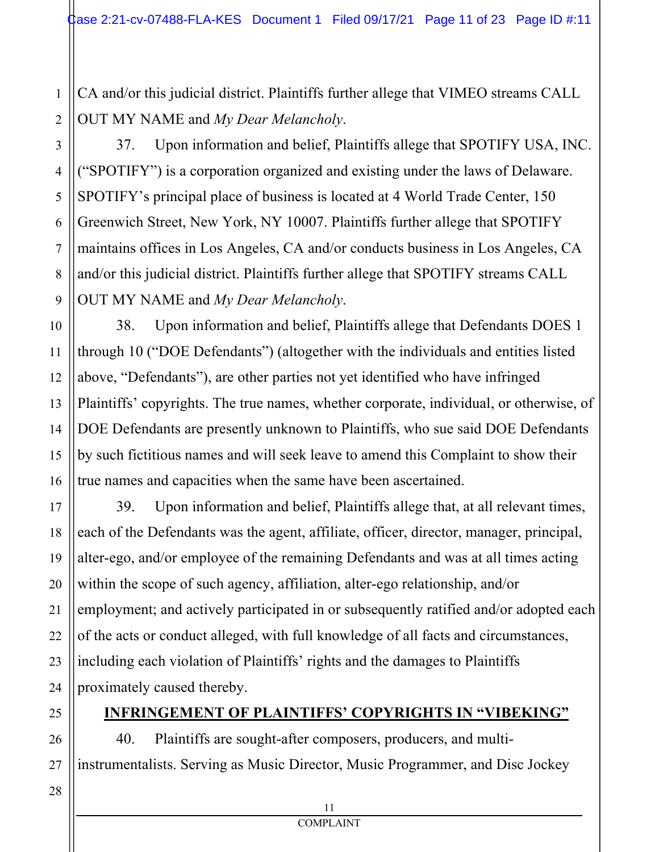CA and/or this judicial district. Plaintiffs further allege that VIMEO streams CALL OUT MY NAME and *My Dear Melancholy*.

1

2

3

4

5

6

7

8

9

10

11

12

13

14

15

16

17

18

19

20

21

22

23

24

25

26

27

37. Upon information and belief, Plaintiffs allege that SPOTIFY USA, INC. ("SPOTIFY") is a corporation organized and existing under the laws of Delaware. SPOTIFY's principal place of business is located at 4 World Trade Center, 150 Greenwich Street, New York, NY 10007. Plaintiffs further allege that SPOTIFY maintains offices in Los Angeles, CA and/or conducts business in Los Angeles, CA and/or this judicial district. Plaintiffs further allege that SPOTIFY streams CALL OUT MY NAME and *My Dear Melancholy*.

38. Upon information and belief, Plaintiffs allege that Defendants DOES 1 through 10 ("DOE Defendants") (altogether with the individuals and entities listed above, "Defendants"), are other parties not yet identified who have infringed Plaintiffs' copyrights. The true names, whether corporate, individual, or otherwise, of DOE Defendants are presently unknown to Plaintiffs, who sue said DOE Defendants by such fictitious names and will seek leave to amend this Complaint to show their true names and capacities when the same have been ascertained.

39. Upon information and belief, Plaintiffs allege that, at all relevant times, each of the Defendants was the agent, affiliate, officer, director, manager, principal, alter-ego, and/or employee of the remaining Defendants and was at all times acting within the scope of such agency, affiliation, alter-ego relationship, and/or employment; and actively participated in or subsequently ratified and/or adopted each of the acts or conduct alleged, with full knowledge of all facts and circumstances, including each violation of Plaintiffs' rights and the damages to Plaintiffs proximately caused thereby.

# **INFRINGEMENT OF PLAINTIFFS' COPYRIGHTS IN "VIBEKING"**

40. Plaintiffs are sought-after composers, producers, and multiinstrumentalists. Serving as Music Director, Music Programmer, and Disc Jockey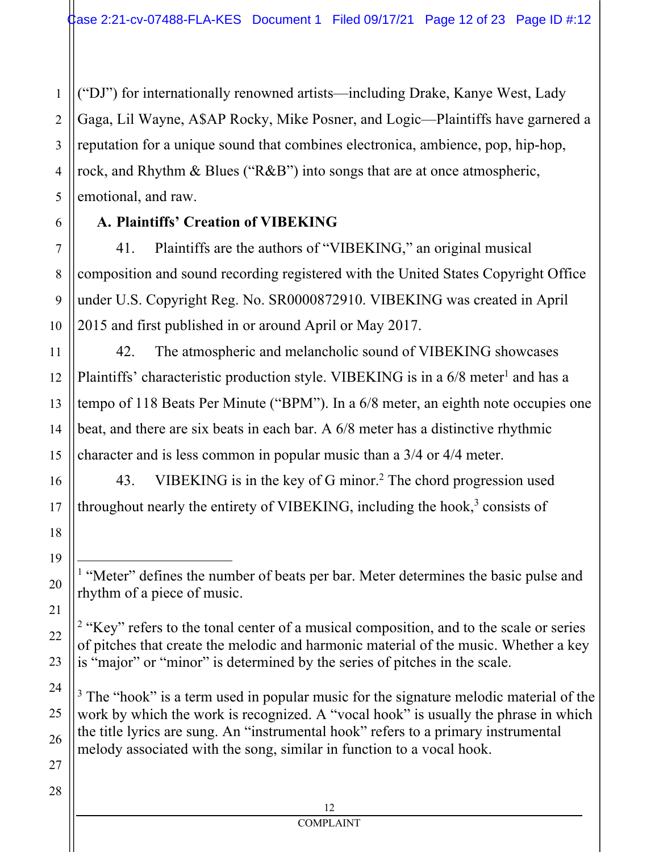("DJ") for internationally renowned artists—including Drake, Kanye West, Lady Gaga, Lil Wayne, A\$AP Rocky, Mike Posner, and Logic—Plaintiffs have garnered a reputation for a unique sound that combines electronica, ambience, pop, hip-hop, rock, and Rhythm & Blues ("R&B") into songs that are at once atmospheric, emotional, and raw.

### **A. Plaintiffs' Creation of VIBEKING**

41. Plaintiffs are the authors of "VIBEKING," an original musical composition and sound recording registered with the United States Copyright Office under U.S. Copyright Reg. No. SR0000872910. VIBEKING was created in April 2015 and first published in or around April or May 2017.

42. The atmospheric and melancholic sound of VIBEKING showcases Plaintiffs' characteristic production style. VIBEKING is in a 6/8 meter<sup>1</sup> and has a tempo of 118 Beats Per Minute ("BPM"). In a 6/8 meter, an eighth note occupies one beat, and there are six beats in each bar. A 6/8 meter has a distinctive rhythmic character and is less common in popular music than a 3/4 or 4/4 meter.

43. VIBEKING is in the key of G minor.<sup>2</sup> The chord progression used throughout nearly the entirety of VIBEKING, including the hook, $3$  consists of

<sup>1</sup> "Meter" defines the number of beats per bar. Meter determines the basic pulse and rhythm of a piece of music.

 $2$  "Key" refers to the tonal center of a musical composition, and to the scale or series of pitches that create the melodic and harmonic material of the music. Whether a key is "major" or "minor" is determined by the series of pitches in the scale.

 $3$  The "hook" is a term used in popular music for the signature melodic material of the work by which the work is recognized. A "vocal hook" is usually the phrase in which the title lyrics are sung. An "instrumental hook" refers to a primary instrumental melody associated with the song, similar in function to a vocal hook.

1

2

3

4

5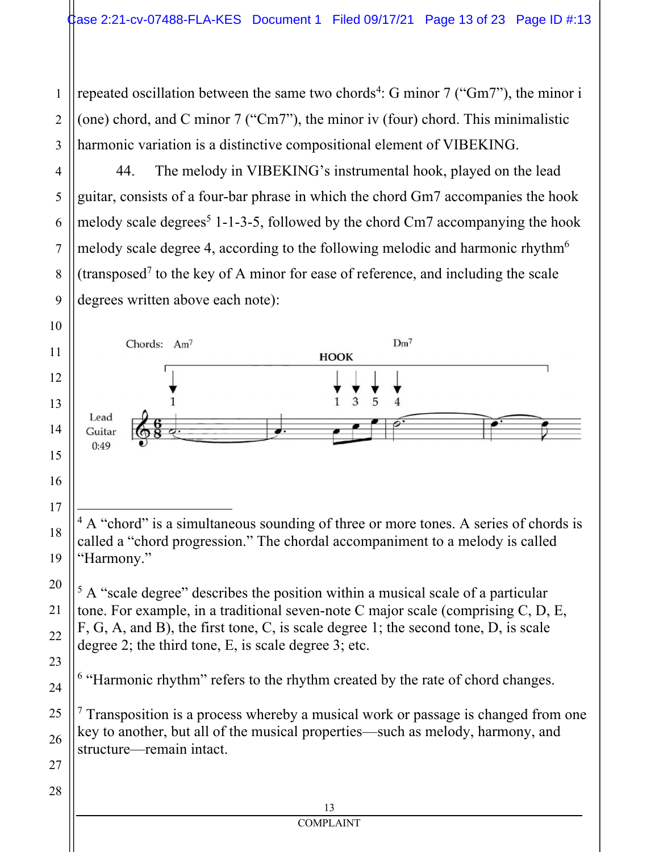repeated oscillation between the same two chords<sup>4</sup>: G minor 7 ("Gm7"), the minor i (one) chord, and C minor 7 ("Cm7"), the minor iv (four) chord. This minimalistic harmonic variation is a distinctive compositional element of VIBEKING.

44. The melody in VIBEKING's instrumental hook, played on the lead guitar, consists of a four-bar phrase in which the chord Gm7 accompanies the hook melody scale degrees<sup>5</sup> 1-1-3-5, followed by the chord Cm7 accompanying the hook melody scale degree 4, according to the following melodic and harmonic rhythm<sup>6</sup> (transposed<sup>7</sup> to the key of A minor for ease of reference, and including the scale degrees written above each note):



degree 2; the third tone, E, is scale degree 3; etc.

"Harmonic rhythm" refers to the rhythm created by the rate of chord changes.

<sup>7</sup> Transposition is a process whereby a musical work or passage is changed from one key to another, but all of the musical properties—such as melody, harmony, and structure—remain intact.

**COMPLAINT**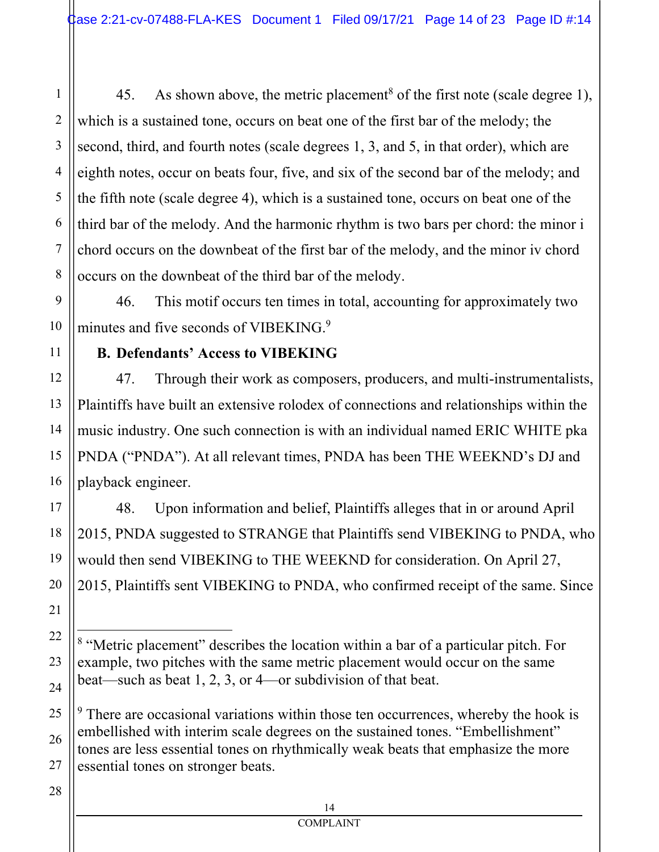45. As shown above, the metric placement<sup>8</sup> of the first note (scale degree 1), which is a sustained tone, occurs on beat one of the first bar of the melody; the second, third, and fourth notes (scale degrees 1, 3, and 5, in that order), which are eighth notes, occur on beats four, five, and six of the second bar of the melody; and the fifth note (scale degree 4), which is a sustained tone, occurs on beat one of the third bar of the melody. And the harmonic rhythm is two bars per chord: the minor i chord occurs on the downbeat of the first bar of the melody, and the minor iv chord occurs on the downbeat of the third bar of the melody.

46. This motif occurs ten times in total, accounting for approximately two minutes and five seconds of VIBEKING.<sup>9</sup>

# **B. Defendants' Access to VIBEKING**

47. Through their work as composers, producers, and multi-instrumentalists, Plaintiffs have built an extensive rolodex of connections and relationships within the music industry. One such connection is with an individual named ERIC WHITE pka PNDA ("PNDA"). At all relevant times, PNDA has been THE WEEKND's DJ and playback engineer.

48. Upon information and belief, Plaintiffs alleges that in or around April 2015, PNDA suggested to STRANGE that Plaintiffs send VIBEKING to PNDA, who would then send VIBEKING to THE WEEKND for consideration. On April 27, 2015, Plaintiffs sent VIBEKING to PNDA, who confirmed receipt of the same. Since

 $9<sup>9</sup>$  There are occasional variations within those ten occurrences, whereby the hook is embellished with interim scale degrees on the sustained tones. "Embellishment" tones are less essential tones on rhythmically weak beats that emphasize the more essential tones on stronger beats.

27 28

1

2

3

4

5

6

7

8

9

10

11

12

13

14

15

16

17

18

19

20

21

22

23

24

25

26

14 **COMPLAINT** 

<sup>&</sup>lt;sup>8</sup> "Metric placement" describes the location within a bar of a particular pitch. For example, two pitches with the same metric placement would occur on the same beat—such as beat 1, 2, 3, or 4—or subdivision of that beat.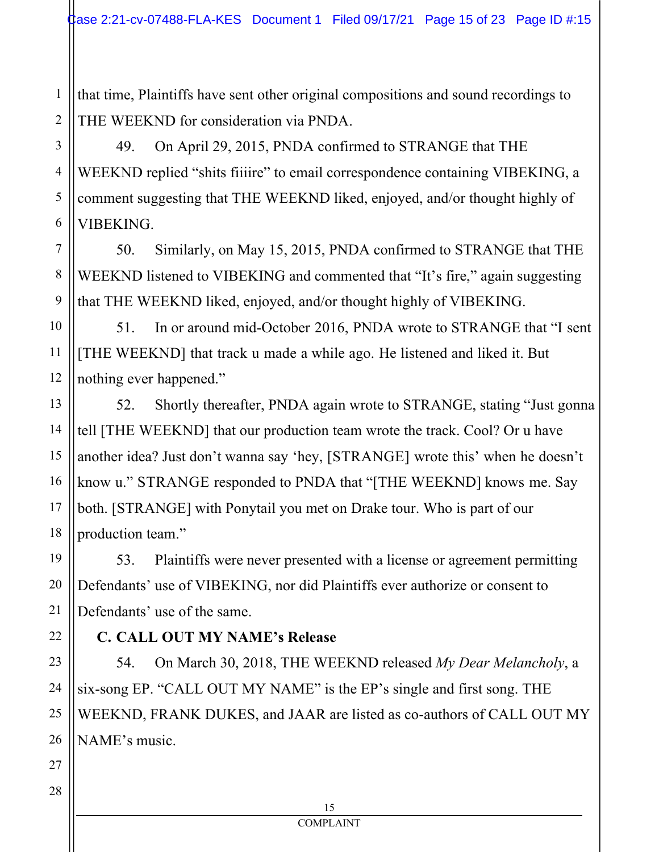1 2 that time, Plaintiffs have sent other original compositions and sound recordings to THE WEEKND for consideration via PNDA.

49. On April 29, 2015, PNDA confirmed to STRANGE that THE WEEKND replied "shits fiiiire" to email correspondence containing VIBEKING, a comment suggesting that THE WEEKND liked, enjoyed, and/or thought highly of VIBEKING.

50. Similarly, on May 15, 2015, PNDA confirmed to STRANGE that THE WEEKND listened to VIBEKING and commented that "It's fire," again suggesting that THE WEEKND liked, enjoyed, and/or thought highly of VIBEKING.

51. In or around mid-October 2016, PNDA wrote to STRANGE that "I sent [THE WEEKND] that track u made a while ago. He listened and liked it. But nothing ever happened."

52. Shortly thereafter, PNDA again wrote to STRANGE, stating "Just gonna tell [THE WEEKND] that our production team wrote the track. Cool? Or u have another idea? Just don't wanna say 'hey, [STRANGE] wrote this' when he doesn't know u." STRANGE responded to PNDA that "[THE WEEKND] knows me. Say both. [STRANGE] with Ponytail you met on Drake tour. Who is part of our production team."

53. Plaintiffs were never presented with a license or agreement permitting Defendants' use of VIBEKING, nor did Plaintiffs ever authorize or consent to Defendants' use of the same.

# **C. CALL OUT MY NAME's Release**

54. On March 30, 2018, THE WEEKND released *My Dear Melancholy*, a six-song EP. "CALL OUT MY NAME" is the EP's single and first song. THE WEEKND, FRANK DUKES, and JAAR are listed as co-authors of CALL OUT MY NAME's music.

3

4

5

6

7

8

9

10

11

12

13

14

15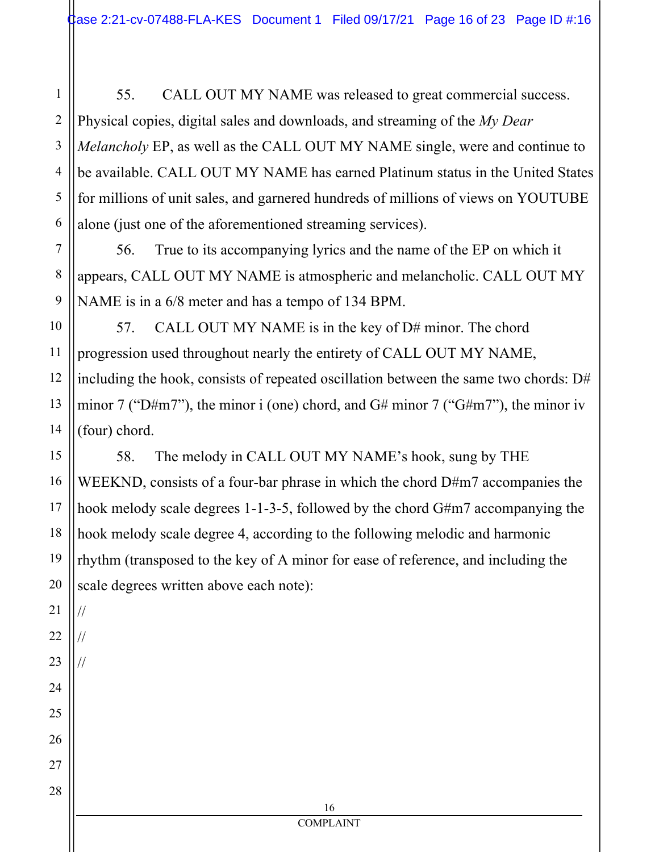1 55. CALL OUT MY NAME was released to great commercial success. Physical copies, digital sales and downloads, and streaming of the *My Dear Melancholy* EP, as well as the CALL OUT MY NAME single, were and continue to be available. CALL OUT MY NAME has earned Platinum status in the United States for millions of unit sales, and garnered hundreds of millions of views on YOUTUBE alone (just one of the aforementioned streaming services).

56. True to its accompanying lyrics and the name of the EP on which it appears, CALL OUT MY NAME is atmospheric and melancholic. CALL OUT MY NAME is in a 6/8 meter and has a tempo of 134 BPM.

57. CALL OUT MY NAME is in the key of D# minor. The chord progression used throughout nearly the entirety of CALL OUT MY NAME, including the hook, consists of repeated oscillation between the same two chords: D# minor 7 ("D#m7"), the minor i (one) chord, and G# minor 7 ("G#m7"), the minor iv (four) chord.

58. The melody in CALL OUT MY NAME's hook, sung by THE WEEKND, consists of a four-bar phrase in which the chord D#m7 accompanies the hook melody scale degrees 1-1-3-5, followed by the chord G#m7 accompanying the hook melody scale degree 4, according to the following melodic and harmonic rhythm (transposed to the key of A minor for ease of reference, and including the scale degrees written above each note):

//

//

//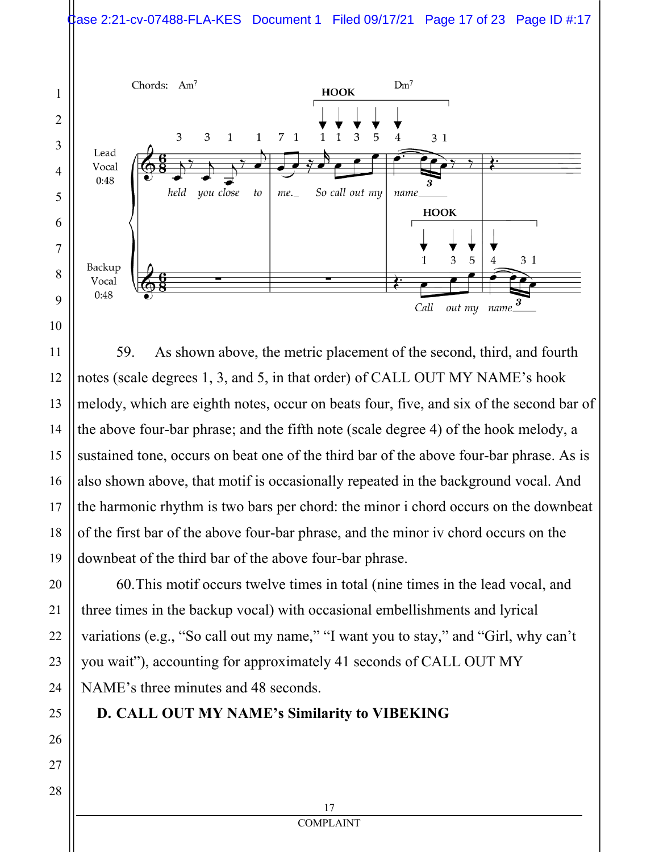



59. As shown above, the metric placement of the second, third, and fourth notes (scale degrees 1, 3, and 5, in that order) of CALL OUT MY NAME's hook melody, which are eighth notes, occur on beats four, five, and six of the second bar of the above four-bar phrase; and the fifth note (scale degree 4) of the hook melody, a sustained tone, occurs on beat one of the third bar of the above four-bar phrase. As is also shown above, that motif is occasionally repeated in the background vocal. And the harmonic rhythm is two bars per chord: the minor i chord occurs on the downbeat of the first bar of the above four-bar phrase, and the minor iv chord occurs on the downbeat of the third bar of the above four-bar phrase.

60.This motif occurs twelve times in total (nine times in the lead vocal, and three times in the backup vocal) with occasional embellishments and lyrical variations (e.g., "So call out my name," "I want you to stay," and "Girl, why can't you wait"), accounting for approximately 41 seconds of CALL OUT MY NAME's three minutes and 48 seconds.

#### **D. CALL OUT MY NAME's Similarity to VIBEKING**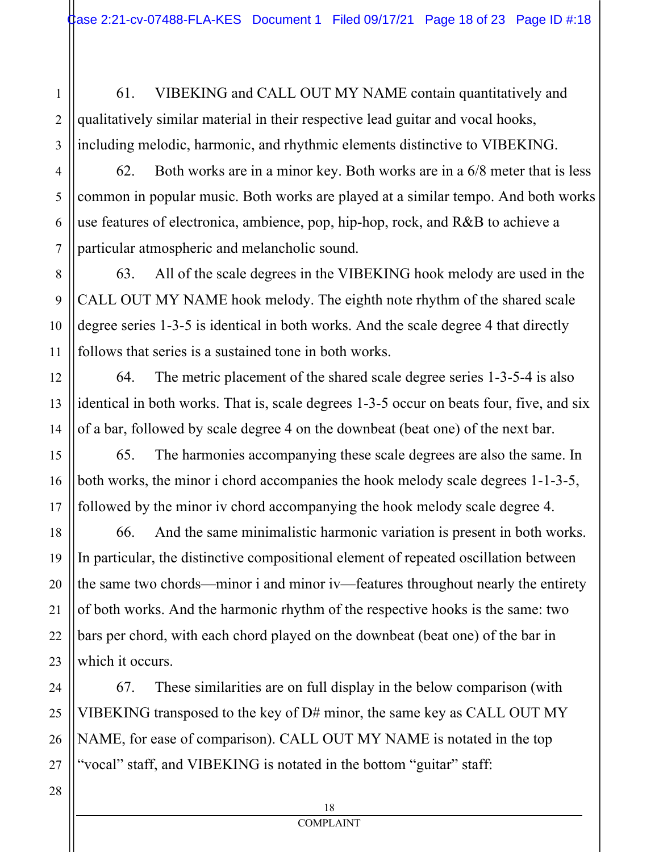61. VIBEKING and CALL OUT MY NAME contain quantitatively and qualitatively similar material in their respective lead guitar and vocal hooks, including melodic, harmonic, and rhythmic elements distinctive to VIBEKING.

62. Both works are in a minor key. Both works are in a 6/8 meter that is less common in popular music. Both works are played at a similar tempo. And both works use features of electronica, ambience, pop, hip-hop, rock, and R&B to achieve a particular atmospheric and melancholic sound.

63. All of the scale degrees in the VIBEKING hook melody are used in the CALL OUT MY NAME hook melody. The eighth note rhythm of the shared scale degree series 1-3-5 is identical in both works. And the scale degree 4 that directly follows that series is a sustained tone in both works.

64. The metric placement of the shared scale degree series 1-3-5-4 is also identical in both works. That is, scale degrees 1-3-5 occur on beats four, five, and six of a bar, followed by scale degree 4 on the downbeat (beat one) of the next bar.

65. The harmonies accompanying these scale degrees are also the same. In both works, the minor i chord accompanies the hook melody scale degrees 1-1-3-5, followed by the minor iv chord accompanying the hook melody scale degree 4.

66. And the same minimalistic harmonic variation is present in both works. In particular, the distinctive compositional element of repeated oscillation between the same two chords—minor i and minor iv—features throughout nearly the entirety of both works. And the harmonic rhythm of the respective hooks is the same: two bars per chord, with each chord played on the downbeat (beat one) of the bar in which it occurs.

67. These similarities are on full display in the below comparison (with VIBEKING transposed to the key of D# minor, the same key as CALL OUT MY NAME, for ease of comparison). CALL OUT MY NAME is notated in the top "vocal" staff, and VIBEKING is notated in the bottom "guitar" staff:

1

2

3

4

5

6

7

8

9

10

11

12

13

14

15

16

17

18

19

20

21

22

23

24

25

26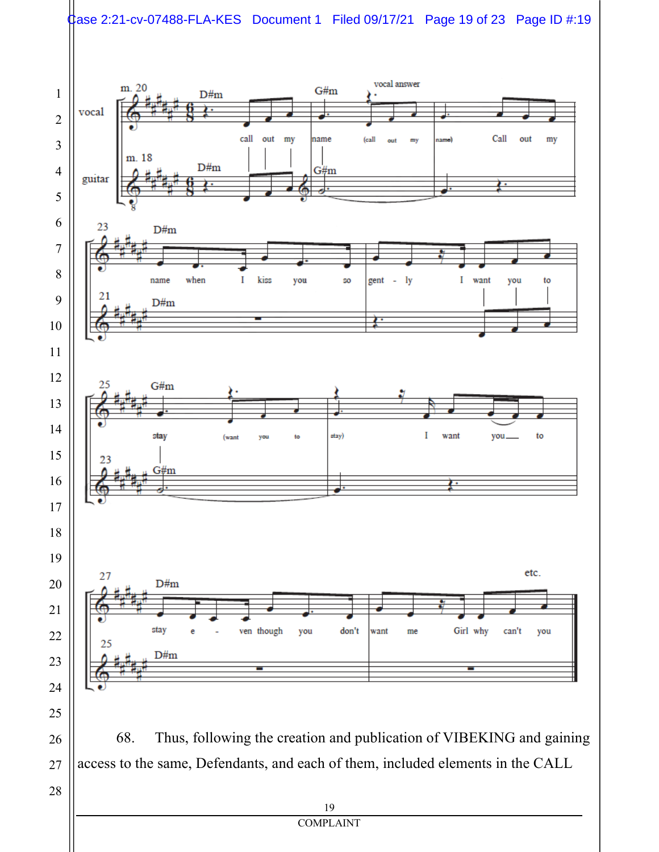#### $\frac{1}{2}$ ase 2:21-cv-07488-FLA-KES Document 1 Filed 09/17/21 Page 19 of 23 Page ID #:19

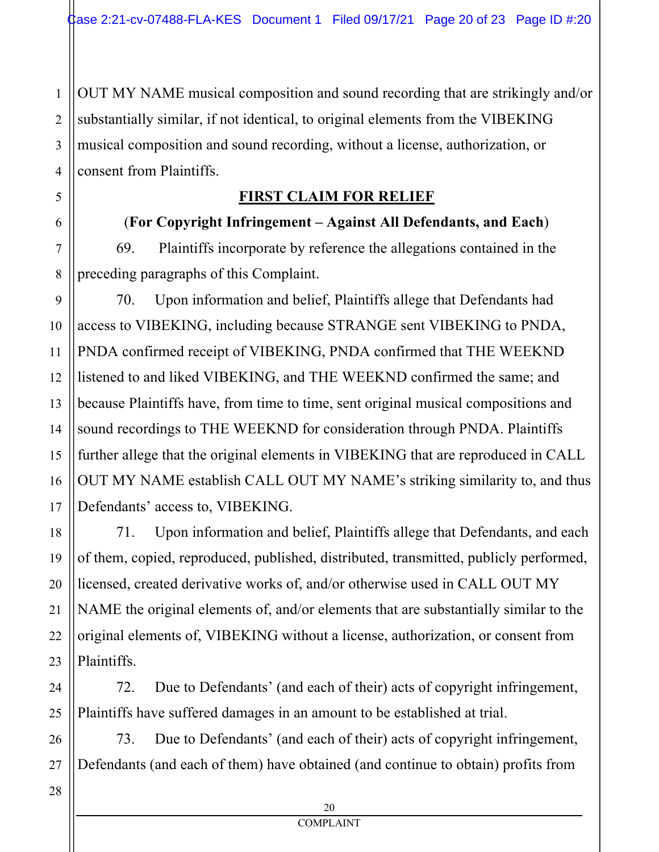1 2 3 4 OUT MY NAME musical composition and sound recording that are strikingly and/or substantially similar, if not identical, to original elements from the VIBEKING musical composition and sound recording, without a license, authorization, or consent from Plaintiffs.

## **FIRST CLAIM FOR RELIEF**

(**For Copyright Infringement – Against All Defendants, and Each**) 69. Plaintiffs incorporate by reference the allegations contained in the preceding paragraphs of this Complaint.

70. Upon information and belief, Plaintiffs allege that Defendants had access to VIBEKING, including because STRANGE sent VIBEKING to PNDA, PNDA confirmed receipt of VIBEKING, PNDA confirmed that THE WEEKND listened to and liked VIBEKING, and THE WEEKND confirmed the same; and because Plaintiffs have, from time to time, sent original musical compositions and sound recordings to THE WEEKND for consideration through PNDA. Plaintiffs further allege that the original elements in VIBEKING that are reproduced in CALL OUT MY NAME establish CALL OUT MY NAME's striking similarity to, and thus Defendants' access to, VIBEKING.

71. Upon information and belief, Plaintiffs allege that Defendants, and each of them, copied, reproduced, published, distributed, transmitted, publicly performed, licensed, created derivative works of, and/or otherwise used in CALL OUT MY NAME the original elements of, and/or elements that are substantially similar to the original elements of, VIBEKING without a license, authorization, or consent from Plaintiffs.

72. Due to Defendants' (and each of their) acts of copyright infringement, Plaintiffs have suffered damages in an amount to be established at trial.

73. Due to Defendants' (and each of their) acts of copyright infringement, Defendants (and each of them) have obtained (and continue to obtain) profits from

5

6

7

8

9

10

11

12

13

14

15

16

17

18

19

20

21

22

23

24

25

26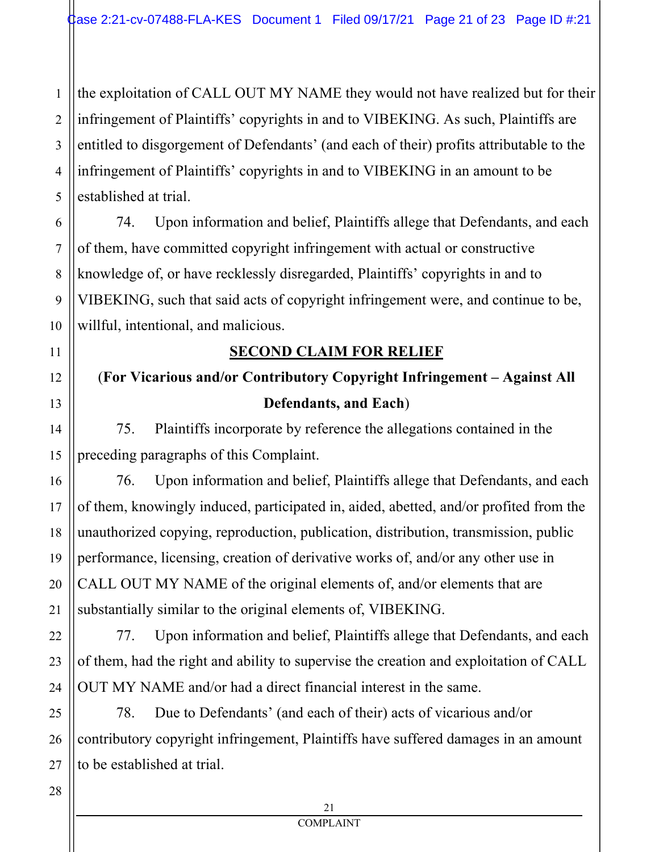1 2 the exploitation of CALL OUT MY NAME they would not have realized but for their infringement of Plaintiffs' copyrights in and to VIBEKING. As such, Plaintiffs are entitled to disgorgement of Defendants' (and each of their) profits attributable to the infringement of Plaintiffs' copyrights in and to VIBEKING in an amount to be established at trial.

74. Upon information and belief, Plaintiffs allege that Defendants, and each of them, have committed copyright infringement with actual or constructive knowledge of, or have recklessly disregarded, Plaintiffs' copyrights in and to VIBEKING, such that said acts of copyright infringement were, and continue to be, willful, intentional, and malicious.

### **SECOND CLAIM FOR RELIEF**

# (**For Vicarious and/or Contributory Copyright Infringement – Against All Defendants, and Each**)

75. Plaintiffs incorporate by reference the allegations contained in the preceding paragraphs of this Complaint.

76. Upon information and belief, Plaintiffs allege that Defendants, and each of them, knowingly induced, participated in, aided, abetted, and/or profited from the unauthorized copying, reproduction, publication, distribution, transmission, public performance, licensing, creation of derivative works of, and/or any other use in CALL OUT MY NAME of the original elements of, and/or elements that are substantially similar to the original elements of, VIBEKING.

77. Upon information and belief, Plaintiffs allege that Defendants, and each of them, had the right and ability to supervise the creation and exploitation of CALL OUT MY NAME and/or had a direct financial interest in the same.

78. Due to Defendants' (and each of their) acts of vicarious and/or contributory copyright infringement, Plaintiffs have suffered damages in an amount to be established at trial.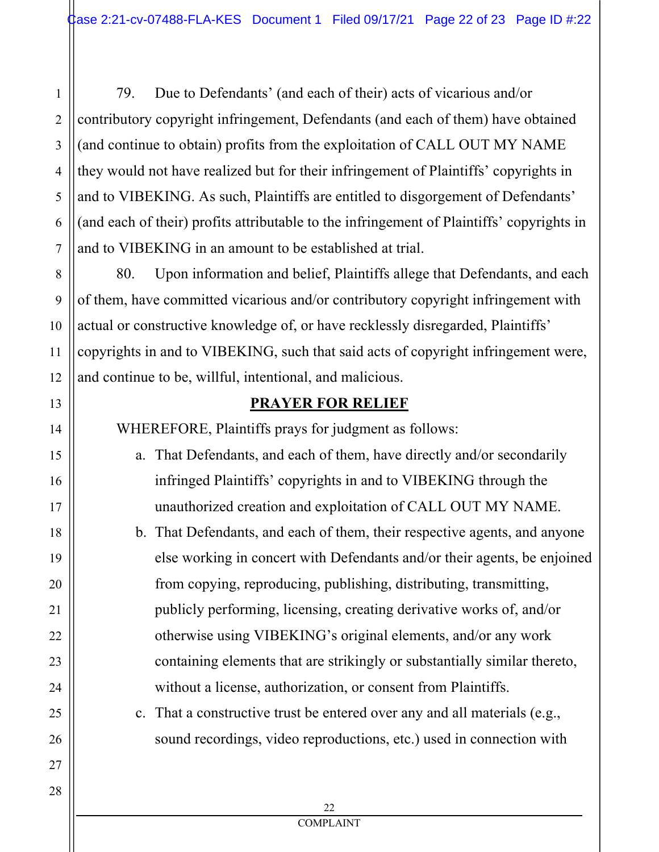79. Due to Defendants' (and each of their) acts of vicarious and/or contributory copyright infringement, Defendants (and each of them) have obtained (and continue to obtain) profits from the exploitation of CALL OUT MY NAME they would not have realized but for their infringement of Plaintiffs' copyrights in and to VIBEKING. As such, Plaintiffs are entitled to disgorgement of Defendants' (and each of their) profits attributable to the infringement of Plaintiffs' copyrights in and to VIBEKING in an amount to be established at trial.

80. Upon information and belief, Plaintiffs allege that Defendants, and each of them, have committed vicarious and/or contributory copyright infringement with actual or constructive knowledge of, or have recklessly disregarded, Plaintiffs' copyrights in and to VIBEKING, such that said acts of copyright infringement were, and continue to be, willful, intentional, and malicious.

# **PRAYER FOR RELIEF**

WHEREFORE, Plaintiffs prays for judgment as follows:

- a. That Defendants, and each of them, have directly and/or secondarily infringed Plaintiffs' copyrights in and to VIBEKING through the unauthorized creation and exploitation of CALL OUT MY NAME.
	- b. That Defendants, and each of them, their respective agents, and anyone else working in concert with Defendants and/or their agents, be enjoined from copying, reproducing, publishing, distributing, transmitting, publicly performing, licensing, creating derivative works of, and/or otherwise using VIBEKING's original elements, and/or any work containing elements that are strikingly or substantially similar thereto, without a license, authorization, or consent from Plaintiffs.
	- c. That a constructive trust be entered over any and all materials (e.g., sound recordings, video reproductions, etc.) used in connection with